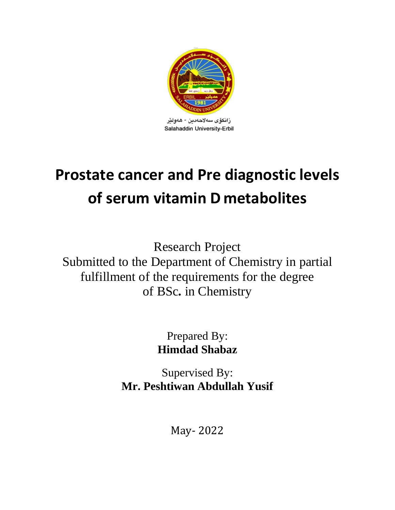

زانكۆي سەلاھەدىن - ھەۋلتر Salahaddin University-Erbil

# **Prostate cancer and Pre diagnostic levels of serum vitamin D metabolites**

Research Project Submitted to the Department of Chemistry in partial fulfillment of the requirements for the degree of BSc**.** in Chemistry

> Prepared By: **Himdad Shabaz**

Supervised By: **Mr. Peshtiwan Abdullah Yusif**

May- 2022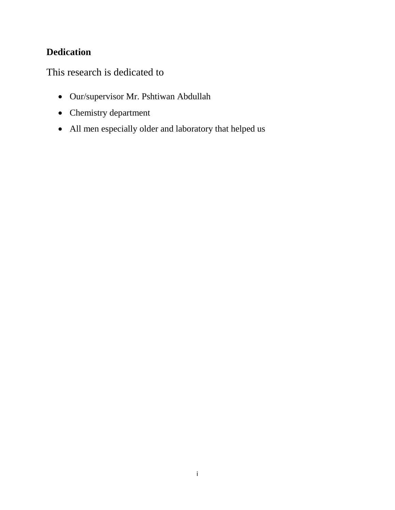# **Dedication**

This research is dedicated to

- Our/supervisor Mr. Pshtiwan Abdullah
- Chemistry department
- All men especially older and laboratory that helped us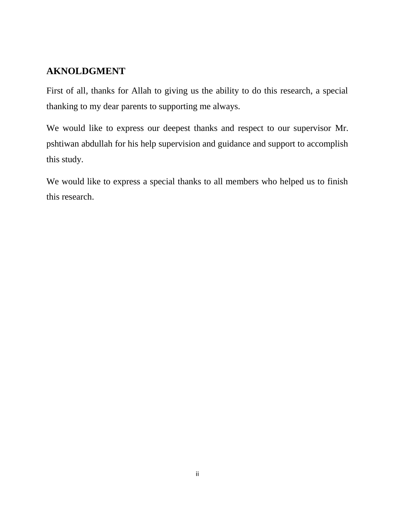# **AKNOLDGMENT**

First of all, thanks for Allah to giving us the ability to do this research, a special thanking to my dear parents to supporting me always.

We would like to express our deepest thanks and respect to our supervisor Mr. pshtiwan abdullah for his help supervision and guidance and support to accomplish this study.

We would like to express a special thanks to all members who helped us to finish this research.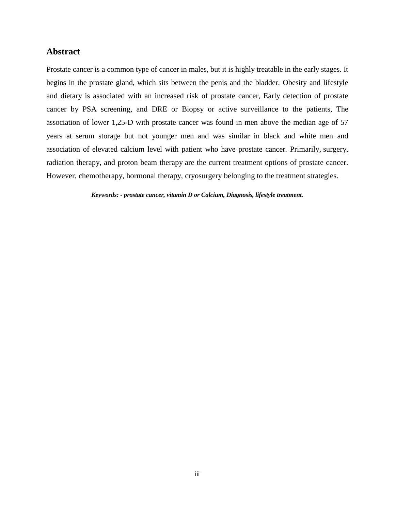#### **Abstract**

Prostate cancer is a common type of cancer in males, but it is highly treatable in the early stages. It begins in the prostate gland, which sits between the penis and the bladder. Obesity and lifestyle and dietary is associated with an increased risk of prostate cancer, Early detection of prostate cancer by PSA screening, and DRE or Biopsy or active surveillance to the patients, The association of lower 1,25-D with prostate cancer was found in men above the median age of 57 years at serum storage but not younger men and was similar in black and white men and association of elevated calcium level with patient who have prostate cancer. Primarily, surgery, radiation therapy, and proton beam therapy are the current treatment options of prostate cancer. However, chemotherapy, hormonal therapy, cryosurgery belonging to the treatment strategies.

*Keywords: - prostate cancer, vitamin D or Calcium, Diagnosis, lifestyle treatment.*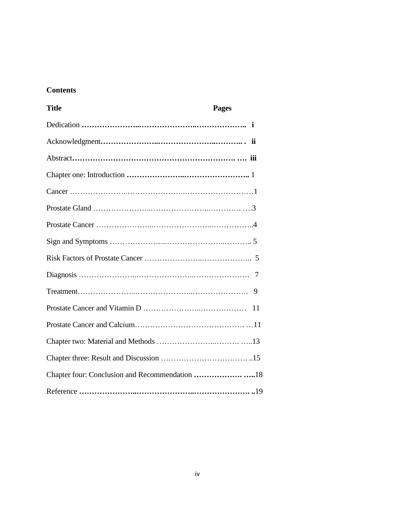# **Contents**

| <b>Title</b> | <b>Pages</b> |
|--------------|--------------|
|              |              |
|              |              |
|              |              |
|              |              |
|              |              |
|              |              |
|              |              |
|              |              |
|              |              |
|              |              |
|              | 9            |
|              | 11           |
|              |              |
|              |              |
|              |              |
|              |              |
|              |              |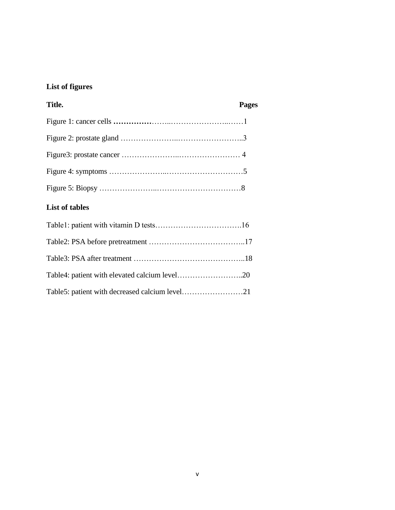# **List of figures**

| Title. | <b>Pages</b> |
|--------|--------------|
|        |              |
|        |              |
|        |              |
|        |              |
|        |              |

# **List of tables**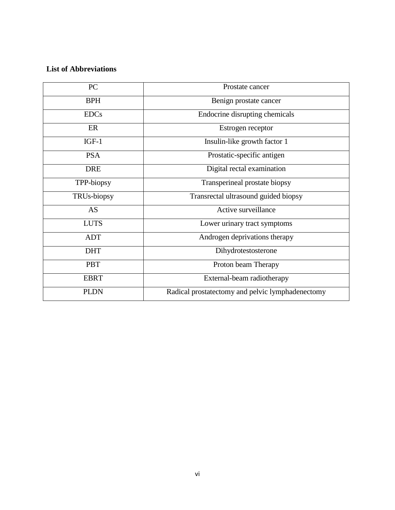# **List of Abbreviations**

| PC          | Prostate cancer                                  |
|-------------|--------------------------------------------------|
| <b>BPH</b>  | Benign prostate cancer                           |
| <b>EDCs</b> | Endocrine disrupting chemicals                   |
| ER          | Estrogen receptor                                |
| $IGF-1$     | Insulin-like growth factor 1                     |
| <b>PSA</b>  | Prostatic-specific antigen                       |
| <b>DRE</b>  | Digital rectal examination                       |
| TPP-biopsy  | Transperineal prostate biopsy                    |
| TRUs-biopsy | Transrectal ultrasound guided biopsy             |
| <b>AS</b>   | Active surveillance                              |
| <b>LUTS</b> | Lower urinary tract symptoms                     |
| <b>ADT</b>  | Androgen deprivations therapy                    |
| <b>DHT</b>  | Dihydrotestosterone                              |
| <b>PBT</b>  | Proton beam Therapy                              |
| <b>EBRT</b> | External-beam radiotherapy                       |
| <b>PLDN</b> | Radical prostatectomy and pelvic lymphadenectomy |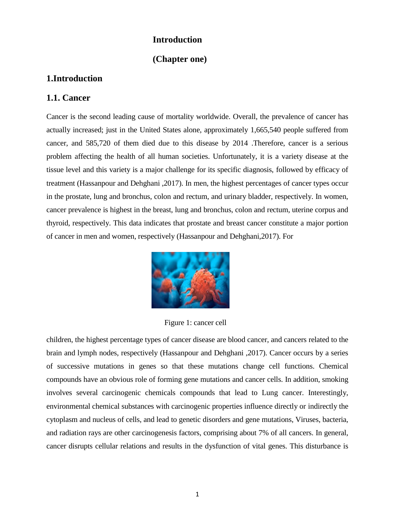#### **Introduction**

# **(Chapter one)**

### **1.Introduction**

#### **1.1. Cancer**

Cancer is the second leading cause of mortality worldwide. Overall, the prevalence of cancer has actually increased; just in the United States alone, approximately 1,665,540 people suffered from cancer, and 585,720 of them died due to this disease by 2014 .Therefore, cancer is a serious problem affecting the health of all human societies. Unfortunately, it is a variety disease at the tissue level and this variety is a major challenge for its specific diagnosis, followed by efficacy of treatment (Hassanpour and Dehghani ,2017). In men, the highest percentages of cancer types occur in the prostate, lung and bronchus, colon and rectum, and urinary bladder, respectively. In women, cancer prevalence is highest in the breast, lung and bronchus, colon and rectum, uterine corpus and thyroid, respectively. This data indicates that prostate and breast cancer constitute a major portion of cancer in men and women, respectively (Hassanpour and Dehghani,2017). For



Figure 1: cancer cell

children, the highest percentage types of cancer disease are blood cancer, and cancers related to the brain and lymph nodes, respectively (Hassanpour and Dehghani ,2017). Cancer occurs by a series of successive mutations in genes so that these mutations change cell functions. Chemical compounds have an obvious role of forming gene mutations and cancer cells. In addition, smoking involves several carcinogenic chemicals compounds that lead to Lung cancer. Interestingly, environmental chemical substances with carcinogenic properties influence directly or indirectly the cytoplasm and nucleus of cells, and lead to genetic disorders and gene mutations, Viruses, bacteria, and radiation rays are other carcinogenesis factors, comprising about 7% of all cancers. In general, cancer disrupts cellular relations and results in the dysfunction of vital genes. This disturbance is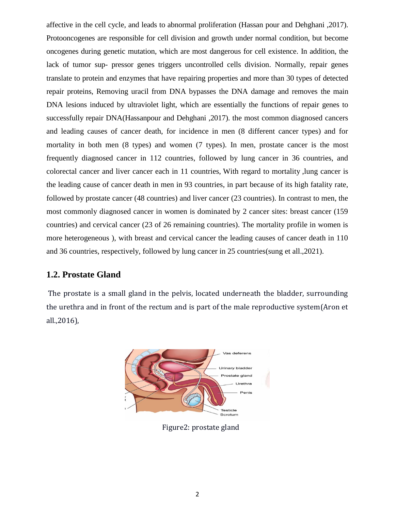affective in the cell cycle, and leads to abnormal proliferation (Hassan pour and Dehghani ,2017). Protooncogenes are responsible for cell division and growth under normal condition, but become oncogenes during genetic mutation, which are most dangerous for cell existence. In addition, the lack of tumor sup- pressor genes triggers uncontrolled cells division. Normally, repair genes translate to protein and enzymes that have repairing properties and more than 30 types of detected repair proteins, Removing uracil from DNA bypasses the DNA damage and removes the main DNA lesions induced by ultraviolet light, which are essentially the functions of repair genes to successfully repair DNA(Hassanpour and Dehghani ,2017). the most common diagnosed cancers and leading causes of cancer death, for incidence in men (8 different cancer types) and for mortality in both men (8 types) and women (7 types). In men, prostate cancer is the most frequently diagnosed cancer in 112 countries, followed by lung cancer in 36 countries, and colorectal cancer and liver cancer each in 11 countries, With regard to mortality ,lung cancer is the leading cause of cancer death in men in 93 countries, in part because of its high fatality rate, followed by prostate cancer (48 countries) and liver cancer (23 countries). In contrast to men, the most commonly diagnosed cancer in women is dominated by 2 cancer sites: breast cancer (159 countries) and cervical cancer (23 of 26 remaining countries). The mortality profile in women is more heterogeneous ), with breast and cervical cancer the leading causes of cancer death in 110 and 36 countries, respectively, followed by lung cancer in 25 countries(sung et all.,2021).

#### **1.2. Prostate Gland**

The prostate is a small gland in the pelvis, located underneath the bladder, surrounding the urethra and in front of the rectum and is part of the male reproductive system(Aron et all.,2016),



Figure2: prostate gland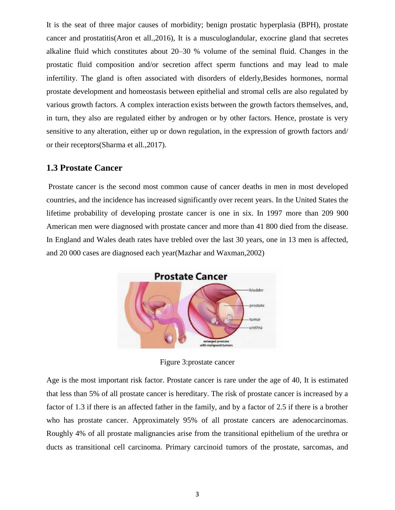It is the seat of three major causes of morbidity; benign prostatic hyperplasia (BPH), prostate cancer and prostatitis(Aron et all.,2016), It is a musculoglandular, exocrine gland that secretes alkaline fluid which constitutes about 20–30 % volume of the seminal fluid. Changes in the prostatic fluid composition and/or secretion affect sperm functions and may lead to male infertility. The gland is often associated with disorders of elderly,Besides hormones, normal prostate development and homeostasis between epithelial and stromal cells are also regulated by various growth factors. A complex interaction exists between the growth factors themselves, and, in turn, they also are regulated either by androgen or by other factors. Hence, prostate is very sensitive to any alteration, either up or down regulation, in the expression of growth factors and/ or their receptors(Sharma et all.,2017).

## **1.3 Prostate Cancer**

Prostate cancer is the second most common cause of cancer deaths in men in most developed countries, and the incidence has increased significantly over recent years. In the United States the lifetime probability of developing prostate cancer is one in six. In 1997 more than 209 900 American men were diagnosed with prostate cancer and more than 41 800 died from the disease. In England and Wales death rates have trebled over the last 30 years, one in 13 men is affected, and 20 000 cases are diagnosed each year(Mazhar and Waxman,2002)



Figure 3:prostate cancer

Age is the most important risk factor. Prostate cancer is rare under the age of 40, It is estimated that less than 5% of all prostate cancer is hereditary. The risk of prostate cancer is increased by a factor of 1.3 if there is an affected father in the family, and by a factor of 2.5 if there is a brother who has prostate cancer. Approximately 95% of all prostate cancers are adenocarcinomas. Roughly 4% of all prostate malignancies arise from the transitional epithelium of the urethra or ducts as transitional cell carcinoma. Primary carcinoid tumors of the prostate, sarcomas, and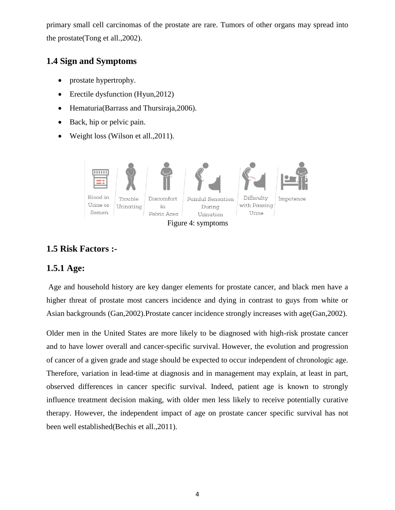primary small cell carcinomas of the prostate are rare. Tumors of other organs may spread into the prostate(Tong et all.,2002).

# **1.4 Sign and Symptoms**

- prostate hypertrophy.
- Erectile dysfunction (Hyun, 2012)
- Hematuria(Barrass and Thursiraja, 2006).
- Back, hip or pelvic pain.
- Weight loss (Wilson et all., 2011).



Figure 4: symptoms

# **1.5 Risk Factors :-**

# **1.5.1 Age:**

Age and household history are key danger elements for prostate cancer, and black men have a higher threat of prostate most cancers incidence and dying in contrast to guys from white or Asian backgrounds (Gan,2002).Prostate cancer incidence strongly increases with age(Gan,2002).

Older men in the United States are more likely to be diagnosed with high-risk prostate cancer and to have lower overall and cancer-specific survival. However, the evolution and progression of cancer of a given grade and stage should be expected to occur independent of chronologic age. Therefore, variation in lead-time at diagnosis and in management may explain, at least in part, observed differences in cancer specific survival. Indeed, patient age is known to strongly influence treatment decision making, with older men less likely to receive potentially curative therapy. However, the independent impact of age on prostate cancer specific survival has not been well established(Bechis et all.,2011).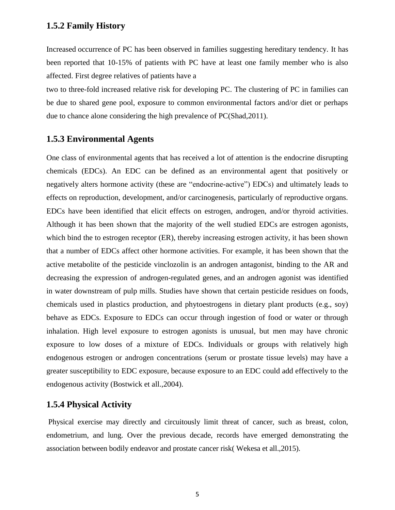#### **1.5.2 Family History**

Increased occurrence of PC has been observed in families suggesting hereditary tendency. It has been reported that 10-15% of patients with PC have at least one family member who is also affected. First degree relatives of patients have a

two to three-fold increased relative risk for developing PC. The clustering of PC in families can be due to shared gene pool, exposure to common environmental factors and/or diet or perhaps due to chance alone considering the high prevalence of PC(Shad,2011).

# **1.5.3 Environmental Agents**

One class of environmental agents that has received a lot of attention is the endocrine disrupting chemicals (EDCs). An EDC can be defined as an environmental agent that positively or negatively alters hormone activity (these are "endocrine-active") EDCs) and ultimately leads to effects on reproduction, development, and/or carcinogenesis, particularly of reproductive organs. EDCs have been identified that elicit effects on estrogen, androgen, and/or thyroid activities. Although it has been shown that the majority of the well studied EDCs are estrogen agonists, which bind the to estrogen receptor (ER), thereby increasing estrogen activity, it has been shown that a number of EDCs affect other hormone activities. For example, it has been shown that the active metabolite of the pesticide vinclozolin is an androgen antagonist, binding to the AR and decreasing the expression of androgen-regulated genes, and an androgen agonist was identified in water downstream of pulp mills. Studies have shown that certain pesticide residues on foods, chemicals used in plastics production, and phytoestrogens in dietary plant products (e.g., soy) behave as EDCs. Exposure to EDCs can occur through ingestion of food or water or through inhalation. High level exposure to estrogen agonists is unusual, but men may have chronic exposure to low doses of a mixture of EDCs. Individuals or groups with relatively high endogenous estrogen or androgen concentrations (serum or prostate tissue levels) may have a greater susceptibility to EDC exposure, because exposure to an EDC could add effectively to the endogenous activity (Bostwick et all.,2004).

# **1.5.4 Physical Activity**

Physical exercise may directly and circuitously limit threat of cancer, such as breast, colon, endometrium, and lung. Over the previous decade, records have emerged demonstrating the association between bodily endeavor and prostate cancer risk( Wekesa et all.,2015).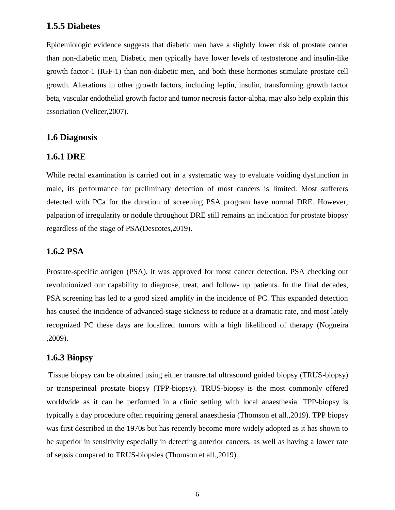#### **1.5.5 Diabetes**

Epidemiologic evidence suggests that diabetic men have a slightly lower risk of prostate cancer than non-diabetic men, Diabetic men typically have lower levels of testosterone and insulin-like growth factor-1 (IGF-1) than non-diabetic men, and both these hormones stimulate prostate cell growth. Alterations in other growth factors, including leptin, insulin, transforming growth factor beta, vascular endothelial growth factor and tumor necrosis factor-alpha, may also help explain this association (Velicer,2007).

#### **1.6 Diagnosis**

#### **1.6.1 DRE**

While rectal examination is carried out in a systematic way to evaluate voiding dysfunction in male, its performance for preliminary detection of most cancers is limited: Most sufferers detected with PCa for the duration of screening PSA program have normal DRE. However, palpation of irregularity or nodule throughout DRE still remains an indication for prostate biopsy regardless of the stage of PSA(Descotes,2019).

#### **1.6.2 PSA**

Prostate-specific antigen (PSA), it was approved for most cancer detection. PSA checking out revolutionized our capability to diagnose, treat, and follow- up patients. In the final decades, PSA screening has led to a good sized amplify in the incidence of PC. This expanded detection has caused the incidence of advanced-stage sickness to reduce at a dramatic rate, and most lately recognized PC these days are localized tumors with a high likelihood of therapy (Nogueira ,2009).

#### **1.6.3 Biopsy**

Tissue biopsy can be obtained using either transrectal ultrasound guided biopsy (TRUS-biopsy) or transperineal prostate biopsy (TPP-biopsy). TRUS-biopsy is the most commonly offered worldwide as it can be performed in a clinic setting with local anaesthesia. TPP-biopsy is typically a day procedure often requiring general anaesthesia (Thomson et all.,2019). TPP biopsy was first described in the 1970s but has recently become more widely adopted as it has shown to be superior in sensitivity especially in detecting anterior cancers, as well as having a lower rate of sepsis compared to TRUS-biopsies (Thomson et all.,2019).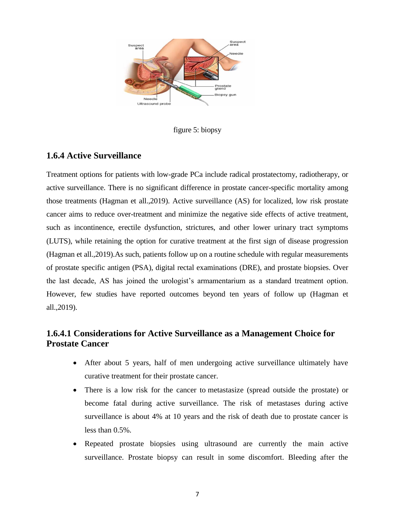

figure 5: biopsy

#### **1.6.4 Active Surveillance**

Treatment options for patients with low-grade PCa include radical prostatectomy, radiotherapy, or active surveillance. There is no significant difference in prostate cancer-specific mortality among those treatments (Hagman et all.,2019). Active surveillance (AS) for localized, low risk prostate cancer aims to reduce over-treatment and minimize the negative side effects of active treatment, such as incontinence, erectile dysfunction, strictures, and other lower urinary tract symptoms (LUTS), while retaining the option for curative treatment at the first sign of disease progression (Hagman et all.,2019).As such, patients follow up on a routine schedule with regular measurements of prostate specific antigen (PSA), digital rectal examinations (DRE), and prostate biopsies. Over the last decade, AS has joined the urologist's armamentarium as a standard treatment option. However, few studies have reported outcomes beyond ten years of follow up (Hagman et all.,2019).

# **1.6.4.1 Considerations for Active Surveillance as a Management Choice for Prostate Cancer**

- After about 5 years, half of men undergoing active surveillance ultimately have curative treatment for their prostate cancer.
- There is a low risk for the cancer to metastasize (spread outside the prostate) or become fatal during active surveillance. The risk of metastases during active surveillance is about 4% at 10 years and the risk of death due to prostate cancer is less than 0.5%.
- Repeated prostate biopsies using ultrasound are currently the main active surveillance. Prostate biopsy can result in some discomfort. Bleeding after the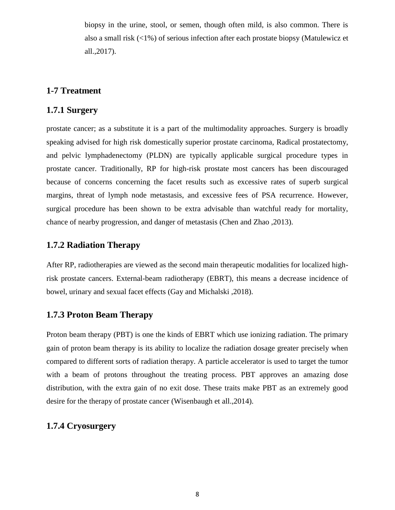biopsy in the urine, stool, or semen, though often mild, is also common. There is also a small risk (<1%) of serious infection after each prostate biopsy (Matulewicz et all.,2017).

# **1-7 Treatment**

#### **1.7.1 Surgery**

prostate cancer; as a substitute it is a part of the multimodality approaches. Surgery is broadly speaking advised for high risk domestically superior prostate carcinoma, Radical prostatectomy, and pelvic lymphadenectomy (PLDN) are typically applicable surgical procedure types in prostate cancer. Traditionally, RP for high-risk prostate most cancers has been discouraged because of concerns concerning the facet results such as excessive rates of superb surgical margins, threat of lymph node metastasis, and excessive fees of PSA recurrence. However, surgical procedure has been shown to be extra advisable than watchful ready for mortality, chance of nearby progression, and danger of metastasis (Chen and Zhao ,2013).

# **1.7.2 Radiation Therapy**

After RP, radiotherapies are viewed as the second main therapeutic modalities for localized highrisk prostate cancers. External-beam radiotherapy (EBRT), this means a decrease incidence of bowel, urinary and sexual facet effects (Gay and Michalski ,2018).

#### **1.7.3 Proton Beam Therapy**

Proton beam therapy (PBT) is one the kinds of EBRT which use ionizing radiation. The primary gain of proton beam therapy is its ability to localize the radiation dosage greater precisely when compared to different sorts of radiation therapy. A particle accelerator is used to target the tumor with a beam of protons throughout the treating process. PBT approves an amazing dose distribution, with the extra gain of no exit dose. These traits make PBT as an extremely good desire for the therapy of prostate cancer (Wisenbaugh et all.,2014).

# **1.7.4 Cryosurgery**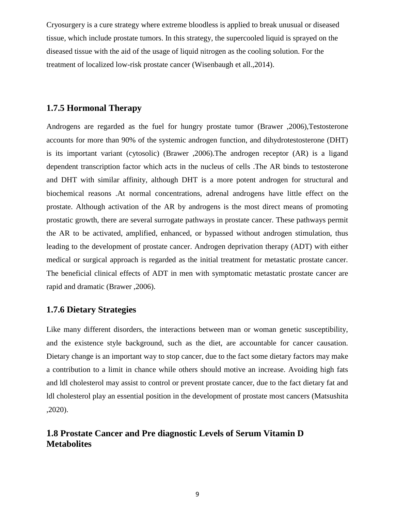Cryosurgery is a cure strategy where extreme bloodless is applied to break unusual or diseased tissue, which include prostate tumors. In this strategy, the supercooled liquid is sprayed on the diseased tissue with the aid of the usage of liquid nitrogen as the cooling solution. For the treatment of localized low-risk prostate cancer (Wisenbaugh et all.,2014).

# **1.7.5 Hormonal Therapy**

Androgens are regarded as the fuel for hungry prostate tumor (Brawer ,2006),Testosterone accounts for more than 90% of the systemic androgen function, and dihydrotestosterone (DHT) is its important variant (cytosolic) (Brawer ,2006).The androgen receptor (AR) is a ligand dependent transcription factor which acts in the nucleus of cells .The AR binds to testosterone and DHT with similar affinity, although DHT is a more potent androgen for structural and biochemical reasons .At normal concentrations, adrenal androgens have little effect on the prostate. Although activation of the AR by androgens is the most direct means of promoting prostatic growth, there are several surrogate pathways in prostate cancer. These pathways permit the AR to be activated, amplified, enhanced, or bypassed without androgen stimulation, thus leading to the development of prostate cancer. Androgen deprivation therapy (ADT) with either medical or surgical approach is regarded as the initial treatment for metastatic prostate cancer. The beneficial clinical effects of ADT in men with symptomatic metastatic prostate cancer are rapid and dramatic (Brawer ,2006).

# **1.7.6 Dietary Strategies**

Like many different disorders, the interactions between man or woman genetic susceptibility, and the existence style background, such as the diet, are accountable for cancer causation. Dietary change is an important way to stop cancer, due to the fact some dietary factors may make a contribution to a limit in chance while others should motive an increase. Avoiding high fats and ldl cholesterol may assist to control or prevent prostate cancer, due to the fact dietary fat and ldl cholesterol play an essential position in the development of prostate most cancers (Matsushita ,2020).

# **1.8 Prostate Cancer and Pre diagnostic Levels of Serum Vitamin D Metabolites**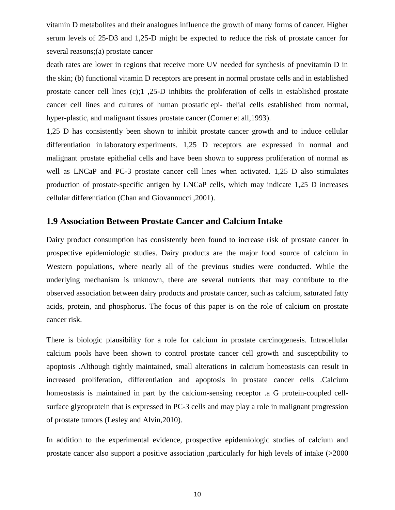vitamin D metabolites and their analogues influence the growth of many forms of cancer. Higher serum levels of 25-D3 and 1,25-D might be expected to reduce the risk of prostate cancer for several reasons;(a) prostate cancer

death rates are lower in regions that receive more UV needed for synthesis of pnevitamin D in the skin; (b) functional vitamin D receptors are present in normal prostate cells and in established prostate cancer cell lines (c);1 ,25-D inhibits the proliferation of cells in established prostate cancer cell lines and cultures of human prostatic epi- thelial cells established from normal, hyper-plastic, and malignant tissues prostate cancer (Corner et all, 1993).

1,25 D has consistently been shown to inhibit prostate cancer growth and to induce cellular differentiation in laboratory experiments. 1,25 D receptors are expressed in normal and malignant prostate epithelial cells and have been shown to suppress proliferation of normal as well as LNCaP and PC-3 prostate cancer cell lines when activated. 1,25 D also stimulates production of prostate-specific antigen by LNCaP cells, which may indicate 1,25 D increases cellular differentiation (Chan and Giovannucci ,2001).

#### **1.9 Association Between Prostate Cancer and Calcium Intake**

Dairy product consumption has consistently been found to increase risk of prostate cancer in prospective epidemiologic studies. Dairy products are the major food source of calcium in Western populations, where nearly all of the previous studies were conducted. While the underlying mechanism is unknown, there are several nutrients that may contribute to the observed association between dairy products and prostate cancer, such as calcium, saturated fatty acids, protein, and phosphorus. The focus of this paper is on the role of calcium on prostate cancer risk.

There is biologic plausibility for a role for calcium in prostate carcinogenesis. Intracellular calcium pools have been shown to control prostate cancer cell growth and susceptibility to apoptosis .Although tightly maintained, small alterations in calcium homeostasis can result in increased proliferation, differentiation and apoptosis in prostate cancer cells .Calcium homeostasis is maintained in part by the calcium-sensing receptor .a G protein-coupled cellsurface glycoprotein that is expressed in PC-3 cells and may play a role in malignant progression of prostate tumors (Lesley and Alvin,2010).

In addition to the experimental evidence, prospective epidemiologic studies of calcium and prostate cancer also support a positive association ,particularly for high levels of intake (>2000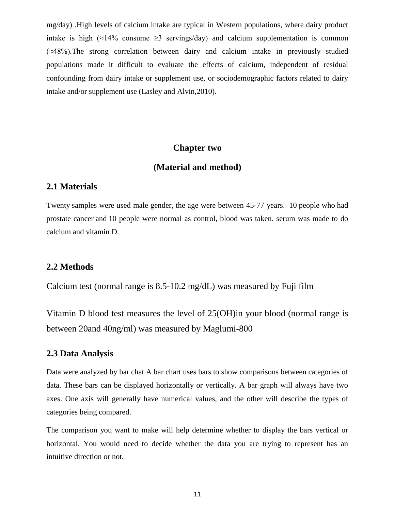mg/day) .High levels of calcium intake are typical in Western populations, where dairy product intake is high ( $\approx$ 14% consume  $\geq$ 3 servings/day) and calcium supplementation is common (≈48%).The strong correlation between dairy and calcium intake in previously studied populations made it difficult to evaluate the effects of calcium, independent of residual confounding from dairy intake or supplement use, or sociodemographic factors related to dairy intake and/or supplement use (Lasley and Alvin,2010).

#### **Chapter two**

#### **(Material and method)**

#### **2.1 Materials**

Twenty samples were used male gender, the age were between 45-77 years. 10 people who had prostate cancer and 10 people were normal as control, blood was taken. serum was made to do calcium and vitamin D.

#### **2.2 Methods**

Calcium test (normal range is 8.5-10.2 mg/dL) was measured by Fuji film

Vitamin D blood test measures the level of 25(OH)in your blood (normal range is between 20and 40ng/ml) was measured by Maglumi-800

#### **2.3 Data Analysis**

Data were analyzed by bar chat A bar chart uses bars to show comparisons between categories of data. These bars can be displayed horizontally or vertically. A bar graph will always have two axes. One axis will generally have numerical values, and the other will describe the types of categories being compared.

The comparison you want to make will help determine whether to display the bars vertical or horizontal. You would need to decide whether the data you are trying to represent has an intuitive direction or not.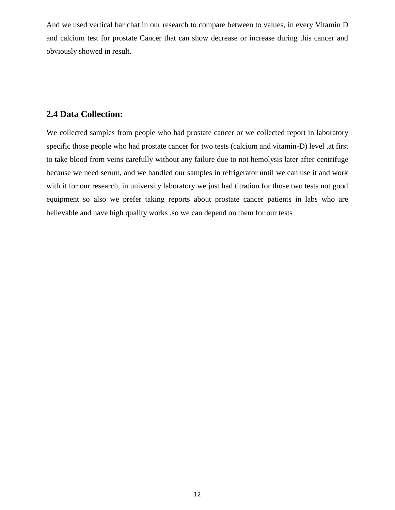And we used vertical bar chat in our research to compare between to values, in every Vitamin D and calcium test for prostate Cancer that can show decrease or increase during this cancer and obviously showed in result.

# **2.4 Data Collection:**

We collected samples from people who had prostate cancer or we collected report in laboratory specific those people who had prostate cancer for two tests (calcium and vitamin-D) level ,at first to take blood from veins carefully without any failure due to not hemolysis later after centrifuge because we need serum, and we handled our samples in refrigerator until we can use it and work with it for our research, in university laboratory we just had titration for those two tests not good equipment so also we prefer taking reports about prostate cancer patients in labs who are believable and have high quality works ,so we can depend on them for our tests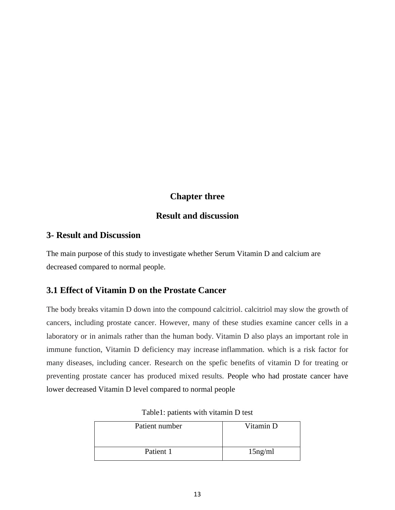# **Chapter three**

#### **Result and discussion**

# **3- Result and Discussion**

The main purpose of this study to investigate whether Serum Vitamin D and calcium are decreased compared to normal people.

# **3.1 Effect of Vitamin D on the Prostate Cancer**

The body breaks vitamin D down into the compound calcitriol. calcitriol may slow the growth of cancers, including prostate cancer. However, many of these studies examine cancer cells in a laboratory or in animals rather than the human body. Vitamin D also plays an important role in immune function, Vitamin D deficiency may increase inflammation. which is a risk factor for many diseases, including cancer. Research on the spefic benefits of vitamin D for treating or preventing prostate cancer has produced mixed results. People who had prostate cancer have lower decreased Vitamin D level compared to normal people

| Patient number | Vitamin D  |
|----------------|------------|
| Patient 1      | $15$ ng/ml |

| Table1: patients with vitamin D test |  |
|--------------------------------------|--|
|--------------------------------------|--|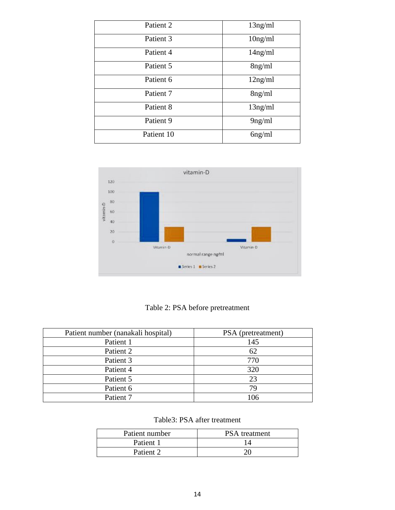| Patient 2  | $13$ ng/ml |
|------------|------------|
| Patient 3  | $10$ ng/ml |
| Patient 4  | $14$ ng/ml |
| Patient 5  | 8ng/ml     |
| Patient 6  | 12ng/ml    |
| Patient 7  | $8$ ng/ml  |
| Patient 8  | $13$ ng/ml |
| Patient 9  | 9ng/ml     |
| Patient 10 | $6$ ng/ml  |



Table 2: PSA before pretreatment

| Patient number (nanakali hospital) | PSA (pretreatment) |
|------------------------------------|--------------------|
| Patient 1                          | 145                |
| Patient 2                          | 62                 |
| Patient 3                          | 770                |
| Patient 4                          | 320                |
| Patient 5                          | 23                 |
| Patient 6                          | 79                 |
| Patient 7                          | 106                |

| Table3: PSA after treatment |  |  |
|-----------------------------|--|--|
|-----------------------------|--|--|

| Patient number | <b>PSA</b> treatment |
|----------------|----------------------|
| Patient 1      |                      |
| Patient 2      |                      |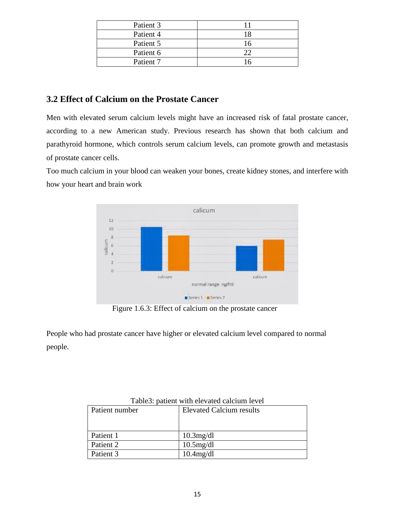| Patient 3 |  |
|-----------|--|
| Patient 4 |  |
| Patient 5 |  |
| Patient 6 |  |
| Patient 7 |  |

# **3.2 Effect of Calcium on the Prostate Cancer**

Men with elevated serum calcium levels might have an increased risk of fatal prostate cancer, according to a new American study. Previous research has shown that both calcium and parathyroid hormone, which controls serum calcium levels, can promote growth and metastasis of prostate cancer cells.

Too much calcium in your blood can weaken your bones, create kidney stones, and interfere with how your heart and brain work



Figure 1.6.3: Effect of calcium on the prostate cancer

People who had prostate cancer have higher or elevated calcium level compared to normal people.

| Patient number | <b>Elevated Calcium results</b> |
|----------------|---------------------------------|
| Patient 1      | $10.3$ mg/dl                    |
| Patient 2      | $10.5$ mg/dl                    |
| Patient 3      | $10.4$ mg/dl                    |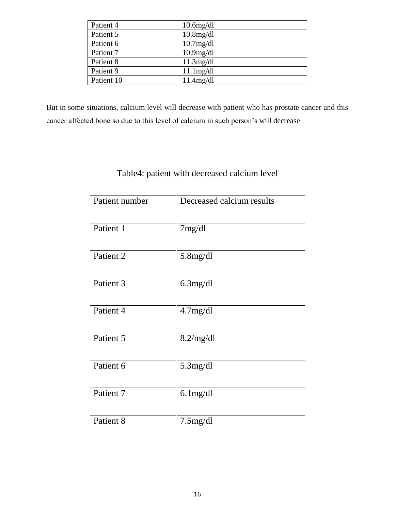| Patient 4  | $10.6$ mg/dl |
|------------|--------------|
| Patient 5  | $10.8$ mg/dl |
| Patient 6  | $10.7$ mg/dl |
| Patient 7  | $10.9$ mg/dl |
| Patient 8  | $11.3$ mg/dl |
| Patient 9  | $11.1$ mg/dl |
| Patient 10 | 11.4mg/dl    |

But in some situations, calcium level will decrease with patient who has prostate cancer and this cancer affected bone so due to this level of calcium in such person's will decrease

# Table4: patient with decreased calcium level

| Patient number | Decreased calcium results |
|----------------|---------------------------|
| Patient 1      | 7mg/dl                    |
| Patient 2      | $5.8$ mg/dl               |
| Patient 3      | $6.3$ mg/dl               |
| Patient 4      | 4.7mg/dl                  |
| Patient 5      | 8.2/mg/dl                 |
| Patient 6      | 5.3mg/dl                  |
| Patient 7      | $6.1$ mg/dl               |
| Patient 8      | $7.5$ mg/dl               |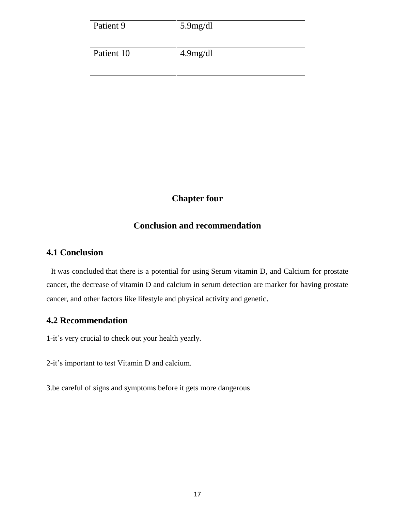| Patient 9  | $5.9$ mg/dl |
|------------|-------------|
| Patient 10 | 4.9mg/dl    |

# **Chapter four**

# **Conclusion and recommendation**

#### **4.1 Conclusion**

It was concluded that there is a potential for using Serum vitamin D, and Calcium for prostate cancer, the decrease of vitamin D and calcium in serum detection are marker for having prostate cancer, and other factors like lifestyle and physical activity and genetic.

#### **4.2 Recommendation**

1-it's very crucial to check out your health yearly.

2-it's important to test Vitamin D and calcium.

3.be careful of signs and symptoms before it gets more dangerous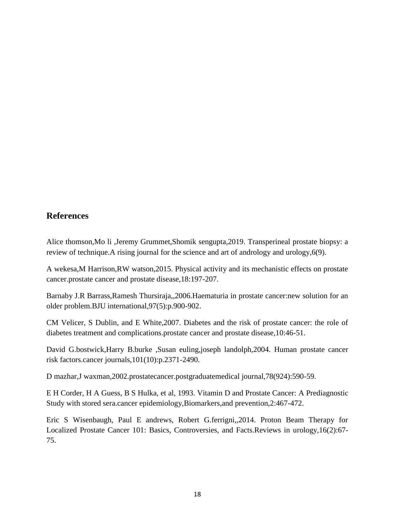# **References**

Alice thomson,Mo li ,Jeremy Grummet,Shomik sengupta,2019. Transperineal prostate biopsy: a review of technique.A rising journal for the science and art of andrology and urology,6(9).

A wekesa,M Harrison,RW watson,2015. Physical activity and its mechanistic effects on prostate cancer.prostate cancer and prostate disease,18:197-207.

Barnaby J.R Barrass,Ramesh Thursiraja,,2006.Haematuria in prostate cancer:new solution for an older problem.BJU international,97(5):p.900-902.

CM Velicer, S Dublin, and E White,2007. Diabetes and the risk of prostate cancer: the role of diabetes treatment and complications.prostate cancer and prostate disease,10:46-51.

David G.bostwick,Harry B.burke ,Susan euling,joseph landolph,2004. Human prostate cancer risk factors.cancer journals,101(10):p.2371-2490.

D mazhar,J waxman,2002.prostatecancer.postgraduatemedical journal,78(924):590-59.

E H Corder, H A Guess, B S Hulka, et al, 1993. Vitamin D and Prostate Cancer: A Prediagnostic Study with stored sera.cancer epidemiology,Biomarkers,and prevention,2:467-472.

Eric S Wisenbaugh, Paul E andrews, Robert G.ferrigni,,2014. Proton Beam Therapy for Localized Prostate Cancer 101: Basics, Controversies, and Facts.Reviews in urology,16(2):67- 75.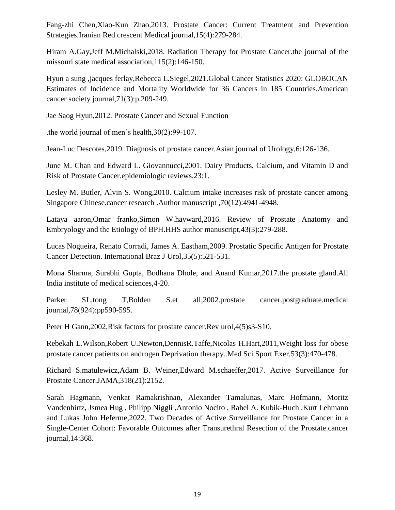Fang-zhi Chen,Xiao-Kun Zhao,2013. Prostate Cancer: Current Treatment and Prevention Strategies.Iranian Red crescent Medical journal,15(4):279-284.

Hiram A.Gay,Jeff M.Michalski,2018. Radiation Therapy for Prostate Cancer.the journal of the missouri state medical association,115(2):146-150.

Hyun a sung ,jacques ferlay,Rebecca L.Siegel,2021.Global Cancer Statistics 2020: GLOBOCAN Estimates of Incidence and Mortality Worldwide for 36 Cancers in 185 Countries.American cancer society journal,71(3):p.209-249.

Jae Saog Hyun,2012. Prostate Cancer and Sexual Function

.the world journal of men's health,30(2):99-107.

Jean-Luc Descotes,2019. Diagnosis of prostate cancer.Asian journal of Urology,6:126-136.

June M. Chan and Edward L. Giovannucci,2001. Dairy Products, Calcium, and Vitamin D and Risk of Prostate Cancer.epidemiologic reviews,23:1.

Lesley M. Butler, Alvin S. Wong,2010. Calcium intake increases risk of prostate cancer among Singapore Chinese.cancer research .Author manuscript ,70(12):4941-4948.

Lataya aaron,Omar franko,Simon W.hayward,2016. Review of Prostate Anatomy and Embryology and the Etiology of BPH.HHS author manuscript,43(3):279-288.

Lucas Nogueira, Renato Corradi, James A. Eastham,2009. Prostatic Specific Antigen for Prostate Cancer Detection. International Braz J Urol,35(5):521-531.

Mona Sharma, Surabhi Gupta, Bodhana Dhole, and Anand Kumar,2017.the prostate gland.All India institute of medical sciences,4-20.

Parker SL,tong T,Bolden S.et all,2002.prostate cancer.postgraduate.medical journal,78(924):pp590-595.

Peter H Gann, 2002, Risk factors for prostate cancer. Rev urol, 4(5) s3-S10.

Rebekah L.Wilson,Robert U.Newton,DennisR.Taffe,Nicolas H.Hart,2011,Weight loss for obese prostate cancer patients on androgen Deprivation therapy..Med Sci Sport Exer,53(3):470-478.

Richard S.matulewicz,Adam B. Weiner,Edward M.schaeffer,2017. Active Surveillance for Prostate Cancer.JAMA,318(21):2152.

Sarah Hagmann, Venkat Ramakrishnan, Alexander Tamalunas, Marc Hofmann, Moritz Vandenhirtz, Jsmea Hug , Philipp Niggli ,Antonio Nocito , Rahel A. Kubik-Huch ,Kurt Lehmann and Lukas John Heferme,2022. Two Decades of Active Surveillance for Prostate Cancer in a Single-Center Cohort: Favorable Outcomes after Transurethral Resection of the Prostate.cancer journal,14:368.